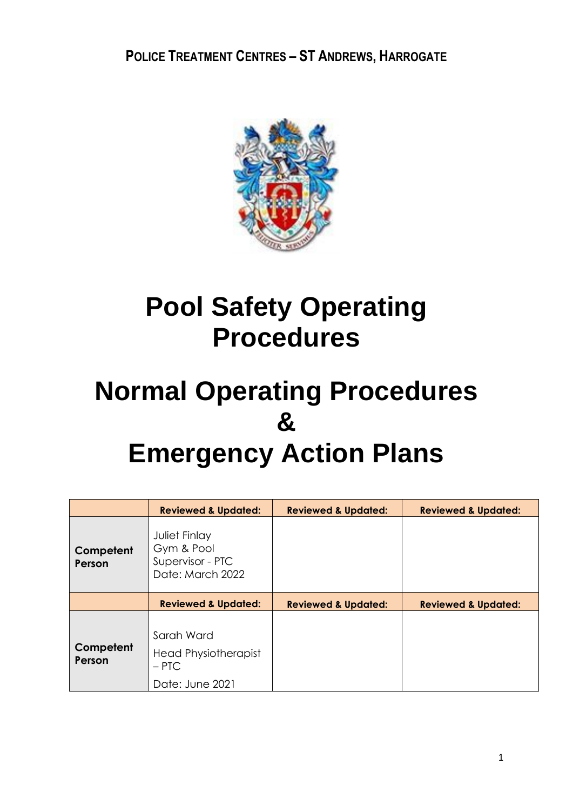**POLICE TREATMENT CENTRES – ST ANDREWS, HARROGATE**



# **Pool Safety Operating Procedures**

# **Normal Operating Procedures & Emergency Action Plans**

|                     | <b>Reviewed &amp; Updated:</b>                                          | <b>Reviewed &amp; Updated:</b> | <b>Reviewed &amp; Updated:</b> |
|---------------------|-------------------------------------------------------------------------|--------------------------------|--------------------------------|
| Competent<br>Person | Juliet Finlay<br>Gym & Pool<br>Supervisor - PTC<br>Date: March 2022     |                                |                                |
|                     | <b>Reviewed &amp; Updated:</b>                                          | <b>Reviewed &amp; Updated:</b> | <b>Reviewed &amp; Updated:</b> |
| Competent<br>Person | Sarah Ward<br><b>Head Physiotherapist</b><br>$-$ PTC<br>Date: June 2021 |                                |                                |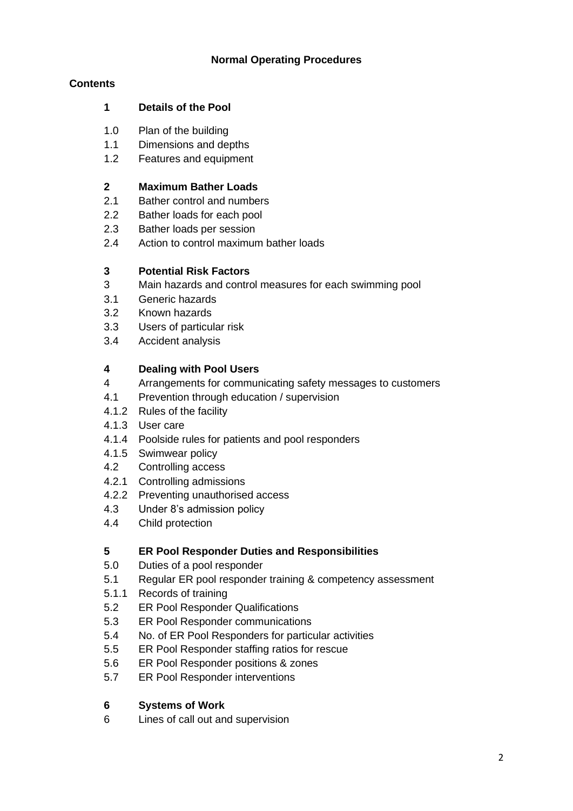# **Contents**

# **1 Details of the Pool**

- 1.0 Plan of the building
- 1.1 Dimensions and depths
- 1.2 Features and equipment

# **2 Maximum Bather Loads**

- 2.1 Bather control and numbers
- 2.2 Bather loads for each pool
- 2.3 Bather loads per session
- 2.4 Action to control maximum bather loads

# **3 Potential Risk Factors**

- 3 Main hazards and control measures for each swimming pool
- 3.1 Generic hazards
- 3.2 Known hazards
- 3.3 Users of particular risk
- 3.4 Accident analysis

# **4 Dealing with Pool Users**

- 4 Arrangements for communicating safety messages to customers
- 4.1 Prevention through education / supervision
- 4.1.2 Rules of the facility
- 4.1.3 User care
- 4.1.4 Poolside rules for patients and pool responders
- 4.1.5 Swimwear policy
- 4.2 Controlling access
- 4.2.1 Controlling admissions
- 4.2.2 Preventing unauthorised access
- 4.3 Under 8's admission policy
- 4.4 Child protection

# **5 ER Pool Responder Duties and Responsibilities**

- 5.0 Duties of a pool responder
- 5.1 Regular ER pool responder training & competency assessment
- 5.1.1 Records of training
- 5.2 ER Pool Responder Qualifications
- 5.3 ER Pool Responder communications
- 5.4 No. of ER Pool Responders for particular activities
- 5.5 ER Pool Responder staffing ratios for rescue
- 5.6 ER Pool Responder positions & zones
- 5.7 ER Pool Responder interventions

# **6 Systems of Work**

6 Lines of call out and supervision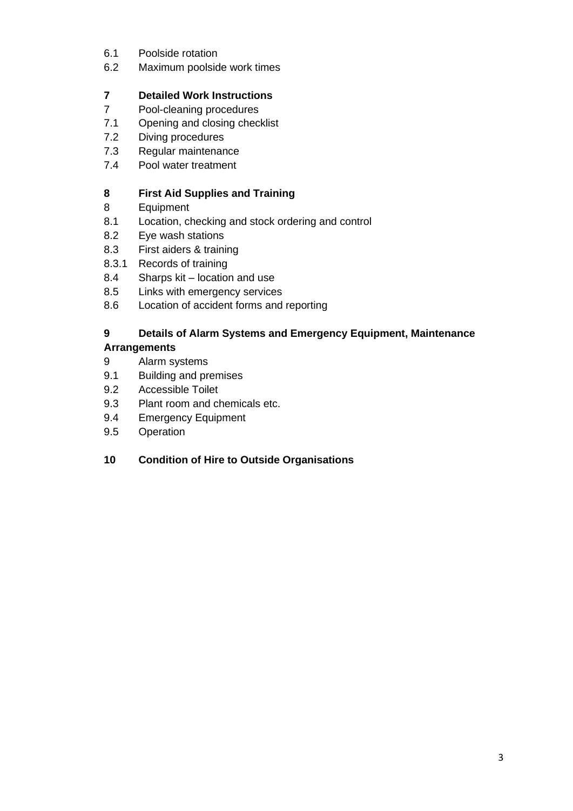- 6.1 Poolside rotation
- 6.2 Maximum poolside work times

# **7 Detailed Work Instructions**

- 7 Pool-cleaning procedures
- 7.1 Opening and closing checklist
- 7.2 Diving procedures
- 7.3 Regular maintenance
- 7.4 Pool water treatment

# **8 First Aid Supplies and Training**

- 8 Equipment
- 8.1 Location, checking and stock ordering and control
- 8.2 Eye wash stations
- 8.3 First aiders & training
- 8.3.1 Records of training
- 8.4 Sharps kit location and use
- 8.5 Links with emergency services
- 8.6 Location of accident forms and reporting

# **9 Details of Alarm Systems and Emergency Equipment, Maintenance**

# **Arrangements**

- 9 Alarm systems
- 9.1 Building and premises
- 9.2 Accessible Toilet
- 9.3 Plant room and chemicals etc.
- 9.4 Emergency Equipment
- 9.5 Operation

# **10 Condition of Hire to Outside Organisations**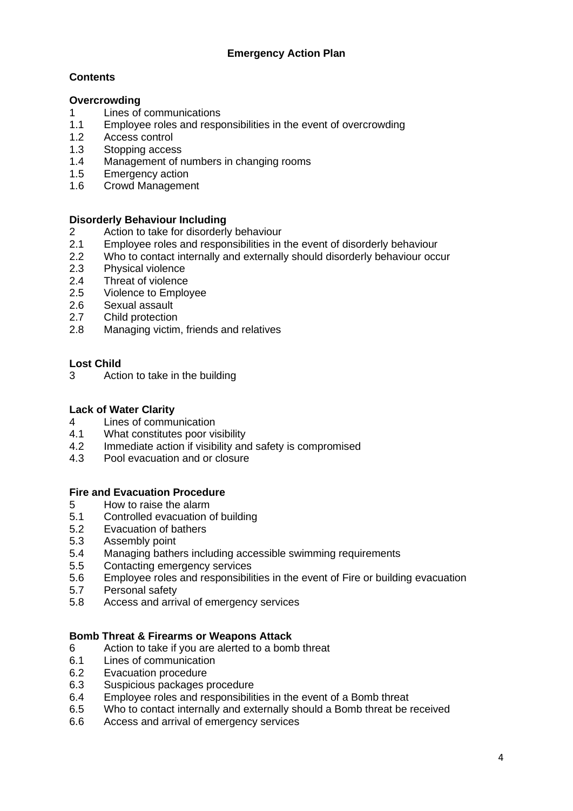#### **Emergency Action Plan**

# **Contents**

#### **Overcrowding**

- 1 Lines of communications
- 1.1 Employee roles and responsibilities in the event of overcrowding
- 1.2 Access control
- 1.3 Stopping access
- 1.4 Management of numbers in changing rooms
- 1.5 Emergency action
- 1.6 Crowd Management

#### **Disorderly Behaviour Including**

- 2 Action to take for disorderly behaviour
- 2.1 Employee roles and responsibilities in the event of disorderly behaviour
- 2.2 Who to contact internally and externally should disorderly behaviour occur
- 2.3 Physical violence
- 2.4 Threat of violence
- 2.5 Violence to Employee
- 2.6 Sexual assault
- 2.7 Child protection
- 2.8 Managing victim, friends and relatives

#### **Lost Child**

3 Action to take in the building

#### **Lack of Water Clarity**

- 4 Lines of communication
- 4.1 What constitutes poor visibility
- 4.2 Immediate action if visibility and safety is compromised<br>4.3 Pool evacuation and or closure
- Pool evacuation and or closure

#### **Fire and Evacuation Procedure**

- 5 How to raise the alarm
- 5.1 Controlled evacuation of building
- 5.2 Evacuation of bathers
- 5.3 Assembly point
- 5.4 Managing bathers including accessible swimming requirements
- 5.5 Contacting emergency services<br>5.6 Emplovee roles and responsibili
- Employee roles and responsibilities in the event of Fire or building evacuation
- 5.7 Personal safety
- 5.8 Access and arrival of emergency services

#### **Bomb Threat & Firearms or Weapons Attack**

- 6 Action to take if you are alerted to a bomb threat
- 6.1 Lines of communication
- 6.2 Evacuation procedure
- 6.3 Suspicious packages procedure
- 6.4 Employee roles and responsibilities in the event of a Bomb threat
- 6.5 Who to contact internally and externally should a Bomb threat be received
- 6.6 Access and arrival of emergency services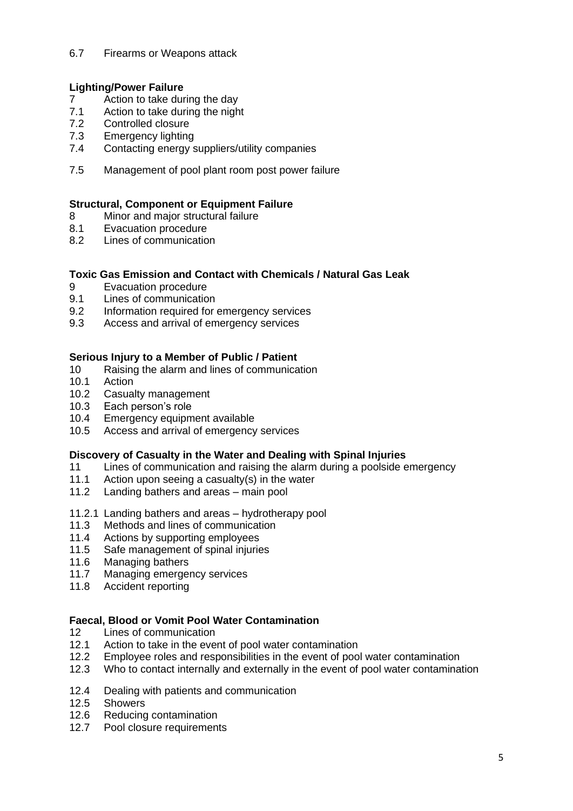#### 6.7 Firearms or Weapons attack

#### **Lighting/Power Failure**

- 7 Action to take during the day
- 7.1 Action to take during the night
- 7.2 Controlled closure
- 7.3 Emergency lighting
- 7.4 Contacting energy suppliers/utility companies
- 7.5 Management of pool plant room post power failure

#### **Structural, Component or Equipment Failure**

- 8 Minor and major structural failure
- 8.1 Evacuation procedure
- 8.2 Lines of communication

#### **Toxic Gas Emission and Contact with Chemicals / Natural Gas Leak**

- 9 Evacuation procedure
- 9.1 Lines of communication
- 9.2 Information required for emergency services
- 9.3 Access and arrival of emergency services

#### **Serious Injury to a Member of Public / Patient**

- 10 Raising the alarm and lines of communication
- 10.1 Action
- 10.2 Casualty management
- 10.3 Each person's role
- 10.4 Emergency equipment available
- 10.5 Access and arrival of emergency services

#### **Discovery of Casualty in the Water and Dealing with Spinal Injuries**

- 11 Lines of communication and raising the alarm during a poolside emergency
- 11.1 Action upon seeing a casualty(s) in the water
- 11.2 Landing bathers and areas main pool
- 11.2.1 Landing bathers and areas hydrotherapy pool
- 11.3 Methods and lines of communication
- 11.4 Actions by supporting employees
- 11.5 Safe management of spinal injuries
- 11.6 Managing bathers<br>11.7 Managing emerger
- Managing emergency services
- 11.8 Accident reporting

#### **Faecal, Blood or Vomit Pool Water Contamination**

- 12 Lines of communication
- 12.1 Action to take in the event of pool water contamination
- 12.2 Employee roles and responsibilities in the event of pool water contamination
- 12.3 Who to contact internally and externally in the event of pool water contamination
- 12.4 Dealing with patients and communication
- 12.5 Showers
- 12.6 Reducing contamination
- 12.7 Pool closure requirements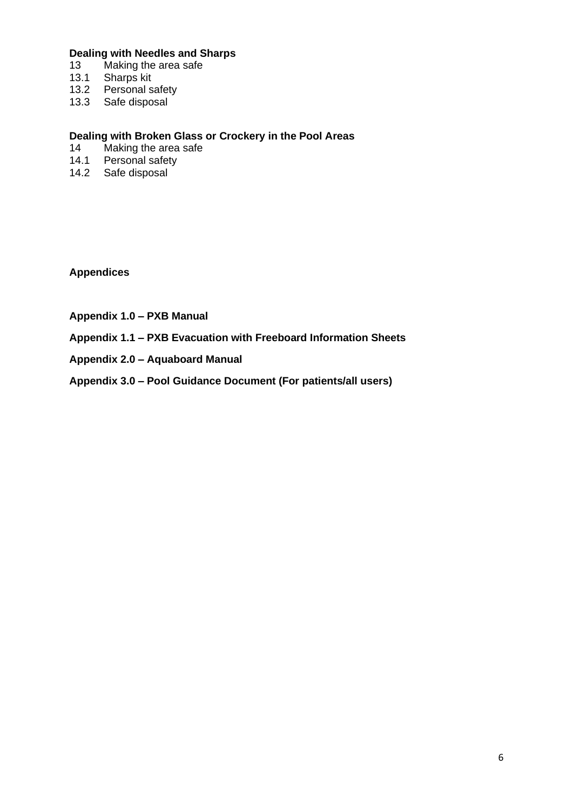#### **Dealing with Needles and Sharps**

- 13 Making the area safe
- 13.1 Sharps kit
- 13.2 Personal safety
- 13.3 Safe disposal

# **Dealing with Broken Glass or Crockery in the Pool Areas**

- 14 Making the area safe<br>14.1 Personal safety
- Personal safety
- 14.2 Safe disposal

**Appendices**

**Appendix 1.0 – PXB Manual** 

- **Appendix 1.1 – PXB Evacuation with Freeboard Information Sheets**
- **Appendix 2.0 – Aquaboard Manual**

**Appendix 3.0 – Pool Guidance Document (For patients/all users)**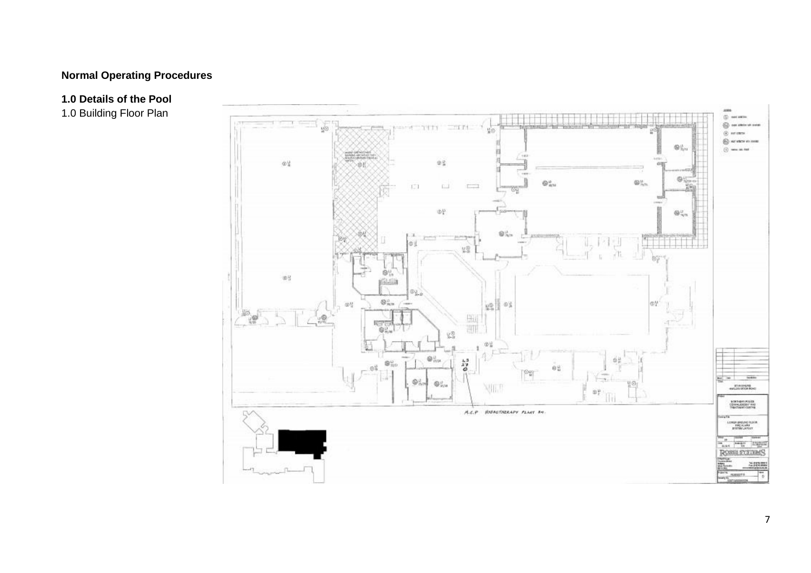# **Normal Operating Procedures**

#### **1.0 Details of the Pool**

1.0 Building Floor Plan

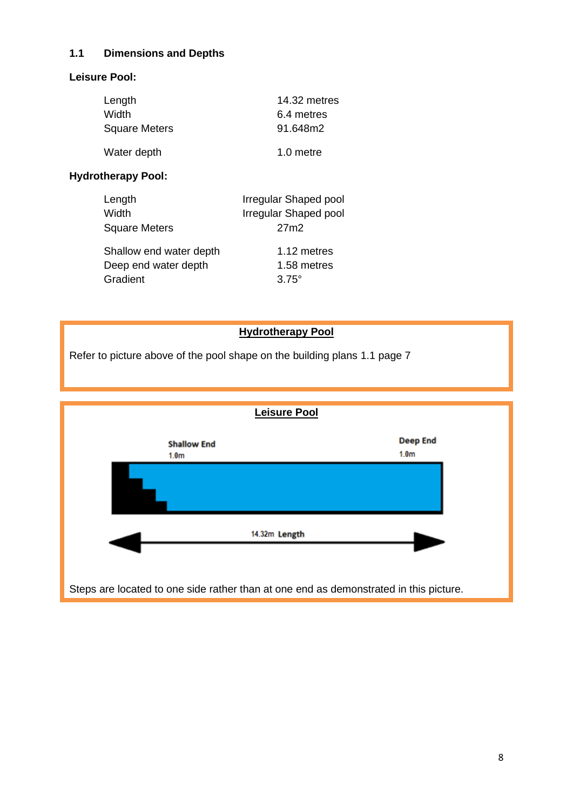# **1.1 Dimensions and Depths**

#### **Leisure Pool:**

| Length               | 14.32 metres |
|----------------------|--------------|
| Width                | 6.4 metres   |
| <b>Square Meters</b> | 91.648m2     |
| Water depth          | 1.0 metre    |

# **Hydrotherapy Pool:**

| Length                  | Irregular Shaped pool |
|-------------------------|-----------------------|
| Width                   | Irregular Shaped pool |
| <b>Square Meters</b>    | 27m2                  |
| Shallow end water depth | 1.12 metres           |
| Deep end water depth    | 1.58 metres           |
| Gradient                | $3.75^\circ$          |

#### **Hydrotherapy Pool**

Refer to picture above of the pool shape on the building plans 1.1 page 7

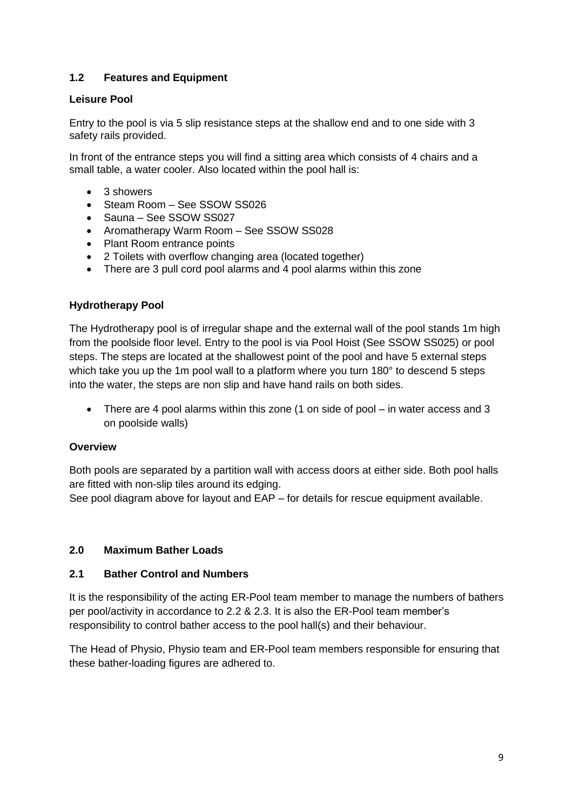# **1.2 Features and Equipment**

#### **Leisure Pool**

Entry to the pool is via 5 slip resistance steps at the shallow end and to one side with 3 safety rails provided.

In front of the entrance steps you will find a sitting area which consists of 4 chairs and a small table, a water cooler. Also located within the pool hall is:

- 3 showers
- Steam Room See SSOW SS026
- Sauna See SSOW SS027
- Aromatherapy Warm Room See SSOW SS028
- Plant Room entrance points
- 2 Toilets with overflow changing area (located together)
- There are 3 pull cord pool alarms and 4 pool alarms within this zone

#### **Hydrotherapy Pool**

The Hydrotherapy pool is of irregular shape and the external wall of the pool stands 1m high from the poolside floor level. Entry to the pool is via Pool Hoist (See SSOW SS025) or pool steps. The steps are located at the shallowest point of the pool and have 5 external steps which take you up the 1m pool wall to a platform where you turn 180° to descend 5 steps into the water, the steps are non slip and have hand rails on both sides.

• There are 4 pool alarms within this zone (1 on side of pool – in water access and 3 on poolside walls)

#### **Overview**

Both pools are separated by a partition wall with access doors at either side. Both pool halls are fitted with non-slip tiles around its edging.

See pool diagram above for layout and EAP – for details for rescue equipment available.

#### **2.0 Maximum Bather Loads**

#### **2.1 Bather Control and Numbers**

It is the responsibility of the acting ER-Pool team member to manage the numbers of bathers per pool/activity in accordance to 2.2 & 2.3. It is also the ER-Pool team member's responsibility to control bather access to the pool hall(s) and their behaviour.

The Head of Physio, Physio team and ER-Pool team members responsible for ensuring that these bather-loading figures are adhered to.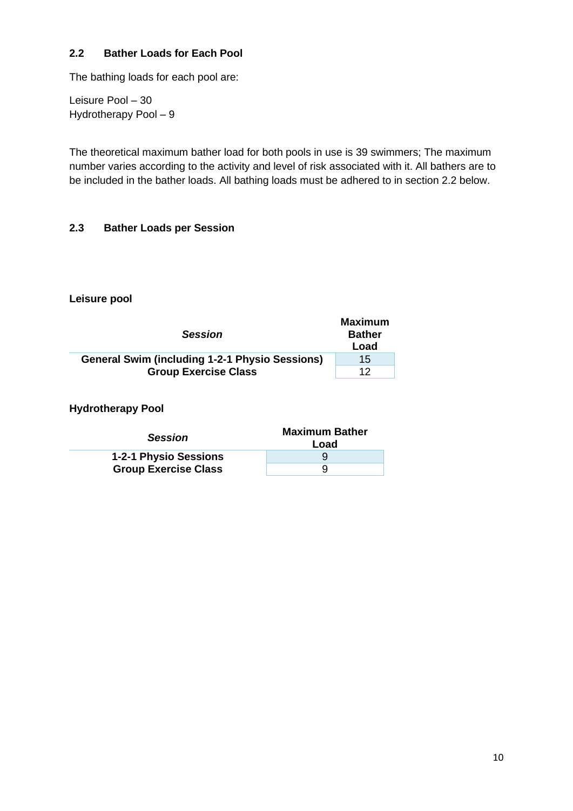#### **2.2 Bather Loads for Each Pool**

The bathing loads for each pool are:

Leisure Pool – 30 Hydrotherapy Pool – 9

The theoretical maximum bather load for both pools in use is 39 swimmers; The maximum number varies according to the activity and level of risk associated with it. All bathers are to be included in the bather loads. All bathing loads must be adhered to in section 2.2 below.

# **2.3 Bather Loads per Session**

**Leisure pool**

| <b>Session</b>                                        | <b>Maximum</b><br><b>Bather</b><br>Load |
|-------------------------------------------------------|-----------------------------------------|
| <b>General Swim (including 1-2-1 Physio Sessions)</b> | 15                                      |
| <b>Group Exercise Class</b>                           | 12                                      |

#### **Hydrotherapy Pool**

| <b>Session</b>              | <b>Maximum Bather</b><br>Load |
|-----------------------------|-------------------------------|
| 1-2-1 Physio Sessions       |                               |
| <b>Group Exercise Class</b> | ч                             |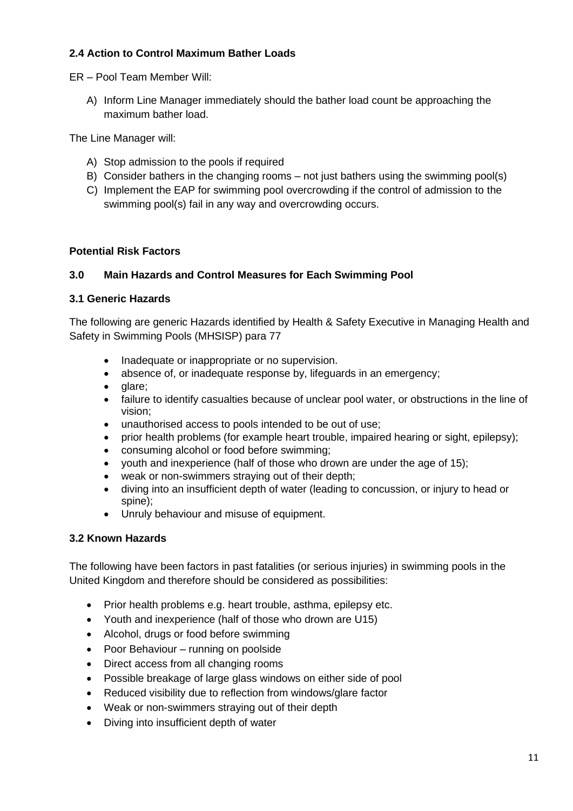# **2.4 Action to Control Maximum Bather Loads**

ER – Pool Team Member Will:

A) Inform Line Manager immediately should the bather load count be approaching the maximum bather load.

The Line Manager will:

- A) Stop admission to the pools if required
- B) Consider bathers in the changing rooms not just bathers using the swimming pool(s)
- C) Implement the EAP for swimming pool overcrowding if the control of admission to the swimming pool(s) fail in any way and overcrowding occurs.

#### **Potential Risk Factors**

#### **3.0 Main Hazards and Control Measures for Each Swimming Pool**

#### **3.1 Generic Hazards**

The following are generic Hazards identified by Health & Safety Executive in Managing Health and Safety in Swimming Pools (MHSISP) para 77

- Inadequate or inappropriate or no supervision.
- absence of, or inadequate response by, lifeguards in an emergency;
- glare:
- failure to identify casualties because of unclear pool water, or obstructions in the line of vision;
- unauthorised access to pools intended to be out of use;
- prior health problems (for example heart trouble, impaired hearing or sight, epilepsy);
- consuming alcohol or food before swimming;
- youth and inexperience (half of those who drown are under the age of 15);
- weak or non-swimmers straying out of their depth;
- diving into an insufficient depth of water (leading to concussion, or injury to head or spine);
- Unruly behaviour and misuse of equipment.

#### **3.2 Known Hazards**

The following have been factors in past fatalities (or serious injuries) in swimming pools in the United Kingdom and therefore should be considered as possibilities:

- Prior health problems e.g. heart trouble, asthma, epilepsy etc.
- Youth and inexperience (half of those who drown are U15)
- Alcohol, drugs or food before swimming
- Poor Behaviour running on poolside
- Direct access from all changing rooms
- Possible breakage of large glass windows on either side of pool
- Reduced visibility due to reflection from windows/glare factor
- Weak or non-swimmers straying out of their depth
- Diving into insufficient depth of water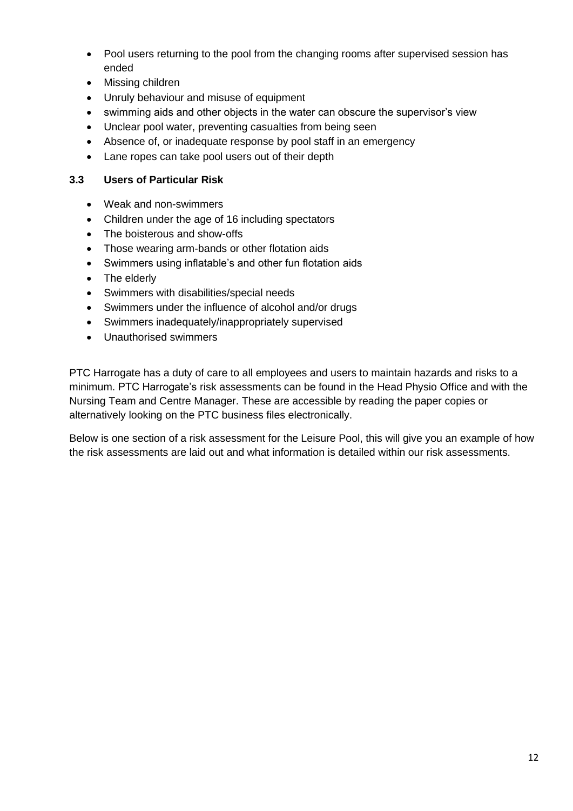- Pool users returning to the pool from the changing rooms after supervised session has ended
- Missing children
- Unruly behaviour and misuse of equipment
- swimming aids and other objects in the water can obscure the supervisor's view
- Unclear pool water, preventing casualties from being seen
- Absence of, or inadequate response by pool staff in an emergency
- Lane ropes can take pool users out of their depth

#### **3.3 Users of Particular Risk**

- Weak and non-swimmers
- Children under the age of 16 including spectators
- The boisterous and show-offs
- Those wearing arm-bands or other flotation aids
- Swimmers using inflatable's and other fun flotation aids
- The elderly
- Swimmers with disabilities/special needs
- Swimmers under the influence of alcohol and/or drugs
- Swimmers inadequately/inappropriately supervised
- Unauthorised swimmers

PTC Harrogate has a duty of care to all employees and users to maintain hazards and risks to a minimum. PTC Harrogate's risk assessments can be found in the Head Physio Office and with the Nursing Team and Centre Manager. These are accessible by reading the paper copies or alternatively looking on the PTC business files electronically.

Below is one section of a risk assessment for the Leisure Pool, this will give you an example of how the risk assessments are laid out and what information is detailed within our risk assessments.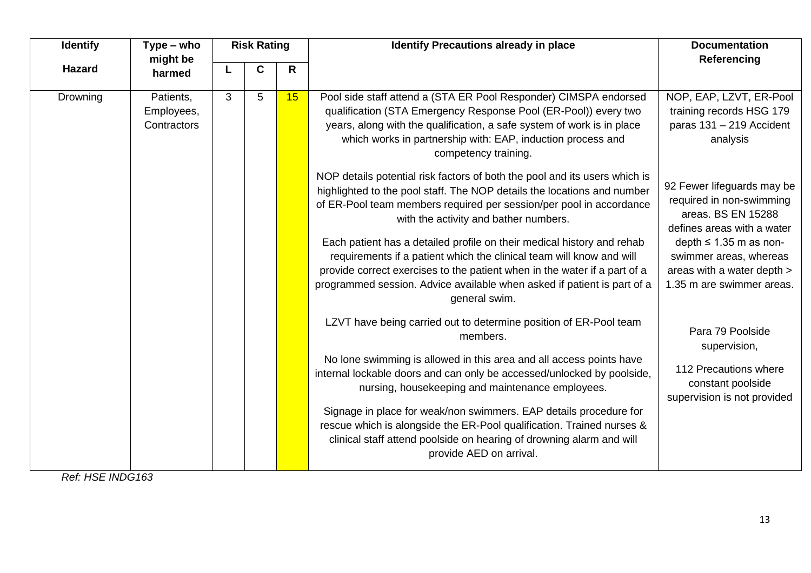| <b>Identify</b> | $Type - who$                           | <b>Risk Rating</b> |             |    | <b>Identify Precautions already in place</b>                                                                                                                                                                                                                                                                                                                                                                                                                                                                                                                                                     | <b>Documentation</b>                                                                                                                                                                                                           |
|-----------------|----------------------------------------|--------------------|-------------|----|--------------------------------------------------------------------------------------------------------------------------------------------------------------------------------------------------------------------------------------------------------------------------------------------------------------------------------------------------------------------------------------------------------------------------------------------------------------------------------------------------------------------------------------------------------------------------------------------------|--------------------------------------------------------------------------------------------------------------------------------------------------------------------------------------------------------------------------------|
| <b>Hazard</b>   | might be<br>harmed                     |                    | $\mathbf C$ | R  |                                                                                                                                                                                                                                                                                                                                                                                                                                                                                                                                                                                                  | <b>Referencing</b>                                                                                                                                                                                                             |
| Drowning        | Patients,<br>Employees,<br>Contractors | 3                  | 5           | 15 | Pool side staff attend a (STA ER Pool Responder) CIMSPA endorsed<br>qualification (STA Emergency Response Pool (ER-Pool)) every two<br>years, along with the qualification, a safe system of work is in place<br>which works in partnership with: EAP, induction process and<br>competency training.                                                                                                                                                                                                                                                                                             | NOP, EAP, LZVT, ER-Pool<br>training records HSG 179<br>paras 131 - 219 Accident<br>analysis                                                                                                                                    |
|                 |                                        |                    |             |    | NOP details potential risk factors of both the pool and its users which is<br>highlighted to the pool staff. The NOP details the locations and number<br>of ER-Pool team members required per session/per pool in accordance<br>with the activity and bather numbers.<br>Each patient has a detailed profile on their medical history and rehab<br>requirements if a patient which the clinical team will know and will<br>provide correct exercises to the patient when in the water if a part of a<br>programmed session. Advice available when asked if patient is part of a<br>general swim. | 92 Fewer lifeguards may be<br>required in non-swimming<br>areas. BS EN 15288<br>defines areas with a water<br>depth $\leq 1.35$ m as non-<br>swimmer areas, whereas<br>areas with a water depth ><br>1.35 m are swimmer areas. |
|                 |                                        |                    |             |    | LZVT have being carried out to determine position of ER-Pool team<br>members.<br>No lone swimming is allowed in this area and all access points have<br>internal lockable doors and can only be accessed/unlocked by poolside,<br>nursing, housekeeping and maintenance employees.<br>Signage in place for weak/non swimmers. EAP details procedure for<br>rescue which is alongside the ER-Pool qualification. Trained nurses &<br>clinical staff attend poolside on hearing of drowning alarm and will<br>provide AED on arrival.                                                              | Para 79 Poolside<br>supervision,<br>112 Precautions where<br>constant poolside<br>supervision is not provided                                                                                                                  |

*Ref: HSE INDG163*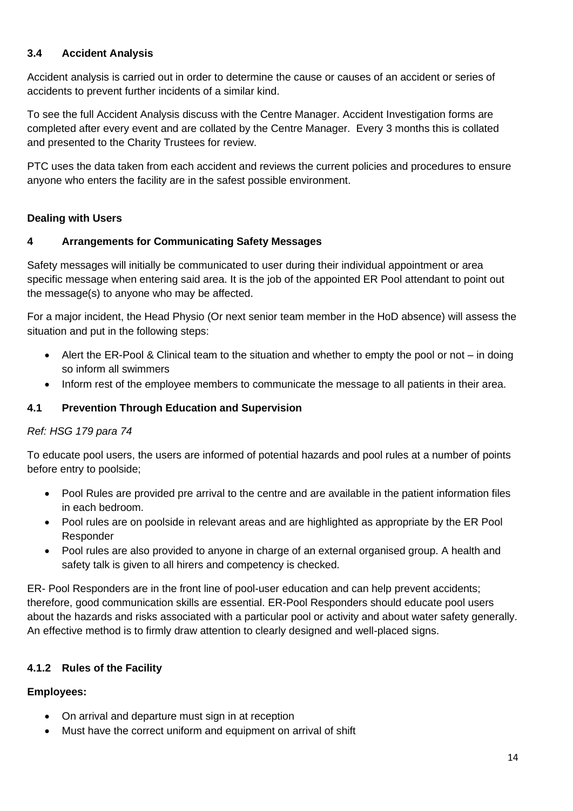# **3.4 Accident Analysis**

Accident analysis is carried out in order to determine the cause or causes of an accident or series of accidents to prevent further incidents of a similar kind.

To see the full Accident Analysis discuss with the Centre Manager. Accident Investigation forms are completed after every event and are collated by the Centre Manager. Every 3 months this is collated and presented to the Charity Trustees for review.

PTC uses the data taken from each accident and reviews the current policies and procedures to ensure anyone who enters the facility are in the safest possible environment.

#### **Dealing with Users**

#### **4 Arrangements for Communicating Safety Messages**

Safety messages will initially be communicated to user during their individual appointment or area specific message when entering said area. It is the job of the appointed ER Pool attendant to point out the message(s) to anyone who may be affected.

For a major incident, the Head Physio (Or next senior team member in the HoD absence) will assess the situation and put in the following steps:

- Alert the ER-Pool & Clinical team to the situation and whether to empty the pool or not in doing so inform all swimmers
- Inform rest of the employee members to communicate the message to all patients in their area.

#### **4.1 Prevention Through Education and Supervision**

#### *Ref: HSG 179 para 74*

To educate pool users, the users are informed of potential hazards and pool rules at a number of points before entry to poolside;

- Pool Rules are provided pre arrival to the centre and are available in the patient information files in each bedroom.
- Pool rules are on poolside in relevant areas and are highlighted as appropriate by the ER Pool Responder
- Pool rules are also provided to anyone in charge of an external organised group. A health and safety talk is given to all hirers and competency is checked.

ER- Pool Responders are in the front line of pool-user education and can help prevent accidents; therefore, good communication skills are essential. ER-Pool Responders should educate pool users about the hazards and risks associated with a particular pool or activity and about water safety generally. An effective method is to firmly draw attention to clearly designed and well-placed signs.

#### **4.1.2 Rules of the Facility**

#### **Employees:**

- On arrival and departure must sign in at reception
- Must have the correct uniform and equipment on arrival of shift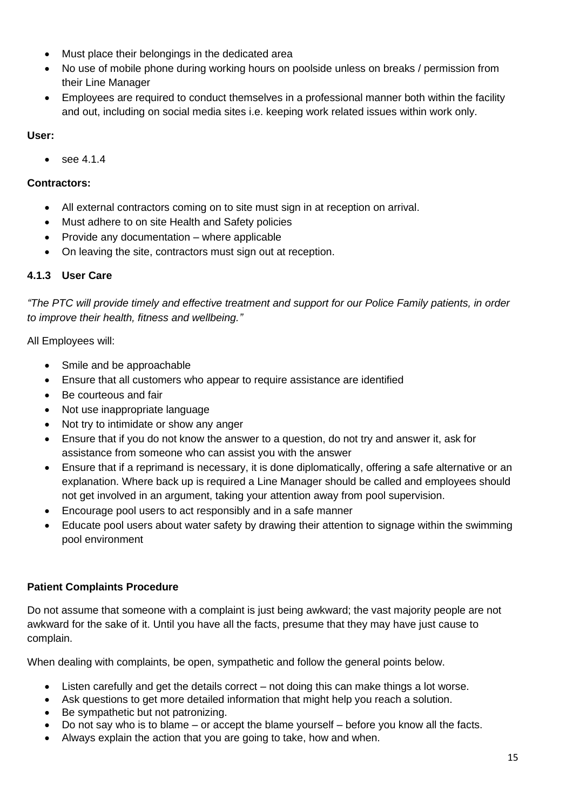- Must place their belongings in the dedicated area
- No use of mobile phone during working hours on poolside unless on breaks / permission from their Line Manager
- Employees are required to conduct themselves in a professional manner both within the facility and out, including on social media sites i.e. keeping work related issues within work only.

#### **User:**

 $•$  see 4.1.4

#### **Contractors:**

- All external contractors coming on to site must sign in at reception on arrival.
- Must adhere to on site Health and Safety policies
- Provide any documentation where applicable
- On leaving the site, contractors must sign out at reception.

#### **4.1.3 User Care**

*"The PTC will provide timely and effective treatment and support for our Police Family patients, in order to improve their health, fitness and wellbeing."*

All Employees will:

- Smile and be approachable
- Ensure that all customers who appear to require assistance are identified
- Be courteous and fair
- Not use inappropriate language
- Not try to intimidate or show any anger
- Ensure that if you do not know the answer to a question, do not try and answer it, ask for assistance from someone who can assist you with the answer
- Ensure that if a reprimand is necessary, it is done diplomatically, offering a safe alternative or an explanation. Where back up is required a Line Manager should be called and employees should not get involved in an argument, taking your attention away from pool supervision.
- Encourage pool users to act responsibly and in a safe manner
- Educate pool users about water safety by drawing their attention to signage within the swimming pool environment

#### **Patient Complaints Procedure**

Do not assume that someone with a complaint is just being awkward; the vast majority people are not awkward for the sake of it. Until you have all the facts, presume that they may have just cause to complain.

When dealing with complaints, be open, sympathetic and follow the general points below.

- Listen carefully and get the details correct not doing this can make things a lot worse.
- Ask questions to get more detailed information that might help you reach a solution.
- Be sympathetic but not patronizing.
- Do not say who is to blame or accept the blame yourself before you know all the facts.
- Always explain the action that you are going to take, how and when.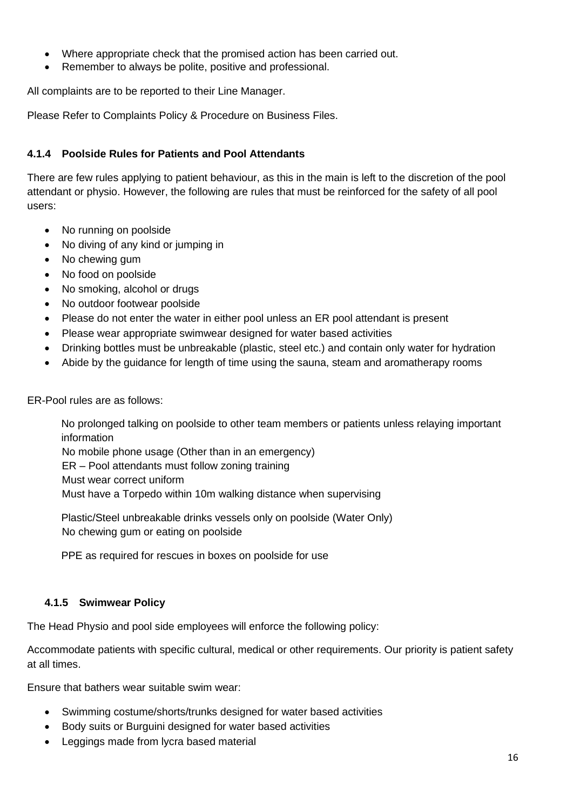- Where appropriate check that the promised action has been carried out.
- Remember to always be polite, positive and professional.

All complaints are to be reported to their Line Manager.

Please Refer to Complaints Policy & Procedure on Business Files.

# **4.1.4 Poolside Rules for Patients and Pool Attendants**

There are few rules applying to patient behaviour, as this in the main is left to the discretion of the pool attendant or physio. However, the following are rules that must be reinforced for the safety of all pool users:

- No running on poolside
- No diving of any kind or jumping in
- No chewing gum
- No food on poolside
- No smoking, alcohol or drugs
- No outdoor footwear poolside
- Please do not enter the water in either pool unless an ER pool attendant is present
- Please wear appropriate swimwear designed for water based activities
- Drinking bottles must be unbreakable (plastic, steel etc.) and contain only water for hydration
- Abide by the guidance for length of time using the sauna, steam and aromatherapy rooms

ER-Pool rules are as follows:

No prolonged talking on poolside to other team members or patients unless relaying important information

No mobile phone usage (Other than in an emergency)

ER – Pool attendants must follow zoning training

Must wear correct uniform

Must have a Torpedo within 10m walking distance when supervising

Plastic/Steel unbreakable drinks vessels only on poolside (Water Only) No chewing gum or eating on poolside

PPE as required for rescues in boxes on poolside for use

#### **4.1.5 Swimwear Policy**

The Head Physio and pool side employees will enforce the following policy:

Accommodate patients with specific cultural, medical or other requirements. Our priority is patient safety at all times.

Ensure that bathers wear suitable swim wear:

- Swimming costume/shorts/trunks designed for water based activities
- Body suits or Burguini designed for water based activities
- Leggings made from lycra based material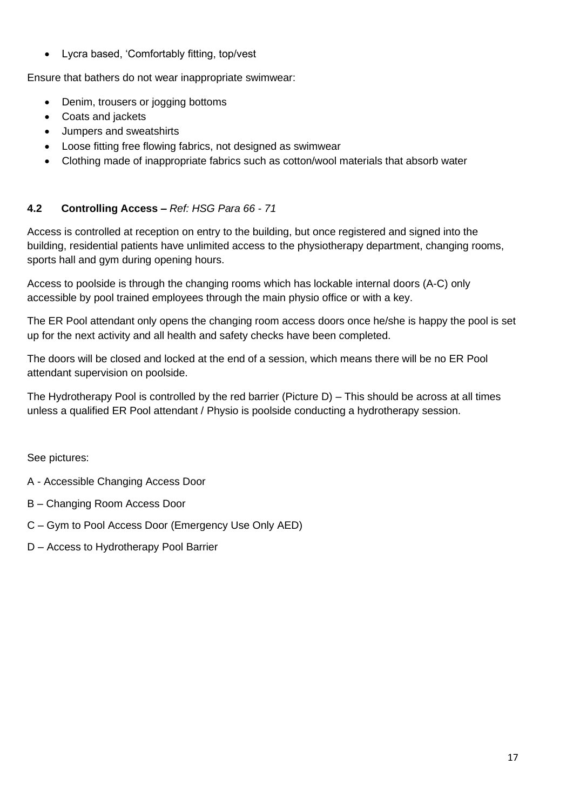• Lycra based, 'Comfortably fitting, top/vest

Ensure that bathers do not wear inappropriate swimwear:

- Denim, trousers or jogging bottoms
- Coats and jackets
- Jumpers and sweatshirts
- Loose fitting free flowing fabrics, not designed as swimwear
- Clothing made of inappropriate fabrics such as cotton/wool materials that absorb water

# **4.2 Controlling Access –** *Ref: HSG Para 66 - 71*

Access is controlled at reception on entry to the building, but once registered and signed into the building, residential patients have unlimited access to the physiotherapy department, changing rooms, sports hall and gym during opening hours.

Access to poolside is through the changing rooms which has lockable internal doors (A-C) only accessible by pool trained employees through the main physio office or with a key.

The ER Pool attendant only opens the changing room access doors once he/she is happy the pool is set up for the next activity and all health and safety checks have been completed.

The doors will be closed and locked at the end of a session, which means there will be no ER Pool attendant supervision on poolside.

The Hydrotherapy Pool is controlled by the red barrier (Picture D) – This should be across at all times unless a qualified ER Pool attendant / Physio is poolside conducting a hydrotherapy session.

See pictures:

- A Accessible Changing Access Door
- B Changing Room Access Door
- C Gym to Pool Access Door (Emergency Use Only AED)
- D Access to Hydrotherapy Pool Barrier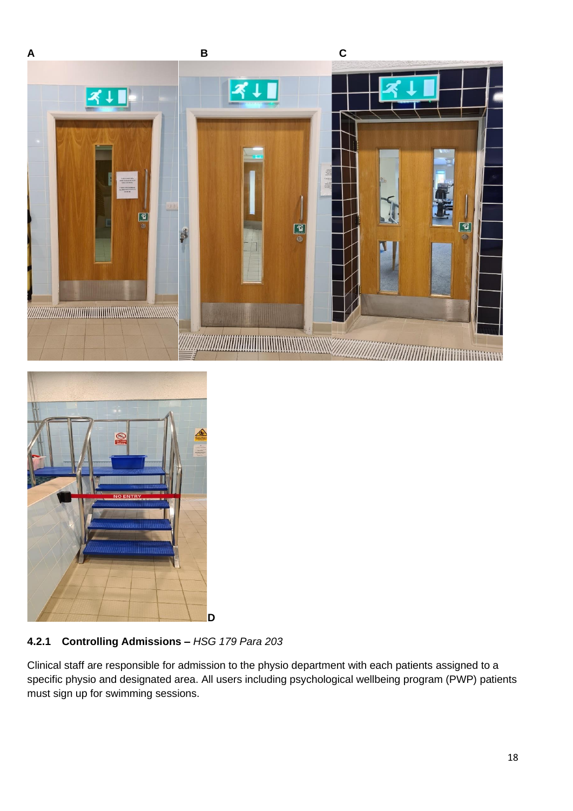



# **4.2.1 Controlling Admissions –** *HSG 179 Para 203*

Clinical staff are responsible for admission to the physio department with each patients assigned to a specific physio and designated area. All users including psychological wellbeing program (PWP) patients must sign up for swimming sessions.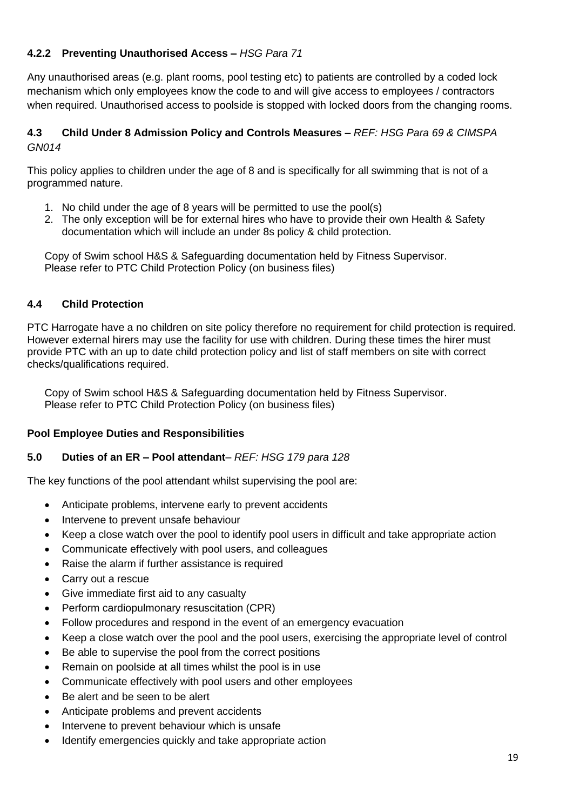# **4.2.2 Preventing Unauthorised Access –** *HSG Para 71*

Any unauthorised areas (e.g. plant rooms, pool testing etc) to patients are controlled by a coded lock mechanism which only employees know the code to and will give access to employees / contractors when required. Unauthorised access to poolside is stopped with locked doors from the changing rooms.

#### **4.3 Child Under 8 Admission Policy and Controls Measures –** *REF: HSG Para 69 & CIMSPA GN014*

This policy applies to children under the age of 8 and is specifically for all swimming that is not of a programmed nature.

- 1. No child under the age of 8 years will be permitted to use the pool(s)
- 2. The only exception will be for external hires who have to provide their own Health & Safety documentation which will include an under 8s policy & child protection.

Copy of Swim school H&S & Safeguarding documentation held by Fitness Supervisor. Please refer to PTC Child Protection Policy (on business files)

#### **4.4 Child Protection**

PTC Harrogate have a no children on site policy therefore no requirement for child protection is required. However external hirers may use the facility for use with children. During these times the hirer must provide PTC with an up to date child protection policy and list of staff members on site with correct checks/qualifications required.

Copy of Swim school H&S & Safeguarding documentation held by Fitness Supervisor. Please refer to PTC Child Protection Policy (on business files)

#### **Pool Employee Duties and Responsibilities**

#### **5.0 Duties of an ER – Pool attendant***– REF: HSG 179 para 128*

The key functions of the pool attendant whilst supervising the pool are:

- Anticipate problems, intervene early to prevent accidents
- Intervene to prevent unsafe behaviour
- Keep a close watch over the pool to identify pool users in difficult and take appropriate action
- Communicate effectively with pool users, and colleagues
- Raise the alarm if further assistance is required
- Carry out a rescue
- Give immediate first aid to any casualty
- Perform cardiopulmonary resuscitation (CPR)
- Follow procedures and respond in the event of an emergency evacuation
- Keep a close watch over the pool and the pool users, exercising the appropriate level of control
- Be able to supervise the pool from the correct positions
- Remain on poolside at all times whilst the pool is in use
- Communicate effectively with pool users and other employees
- Be alert and be seen to be alert
- Anticipate problems and prevent accidents
- Intervene to prevent behaviour which is unsafe
- Identify emergencies quickly and take appropriate action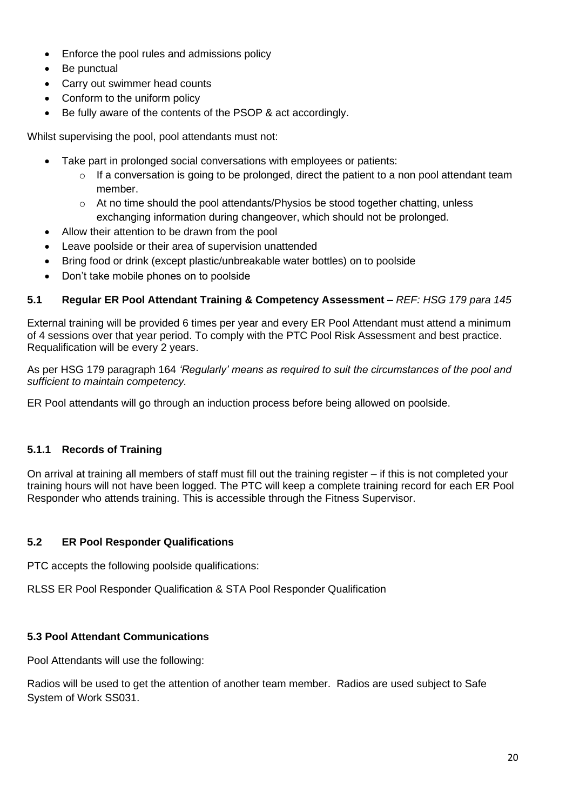- Enforce the pool rules and admissions policy
- Be punctual
- Carry out swimmer head counts
- Conform to the uniform policy
- Be fully aware of the contents of the PSOP & act accordingly.

Whilst supervising the pool, pool attendants must not:

- Take part in prolonged social conversations with employees or patients:
	- $\circ$  If a conversation is going to be prolonged, direct the patient to a non pool attendant team member.
	- o At no time should the pool attendants/Physios be stood together chatting, unless exchanging information during changeover, which should not be prolonged.
- Allow their attention to be drawn from the pool
- Leave poolside or their area of supervision unattended
- Bring food or drink (except plastic/unbreakable water bottles) on to poolside
- Don't take mobile phones on to poolside

# **5.1 Regular ER Pool Attendant Training & Competency Assessment –** *REF: HSG 179 para 145*

External training will be provided 6 times per year and every ER Pool Attendant must attend a minimum of 4 sessions over that year period. To comply with the PTC Pool Risk Assessment and best practice. Requalification will be every 2 years.

As per HSG 179 paragraph 164 *'Regularly' means as required to suit the circumstances of the pool and sufficient to maintain competency.*

ER Pool attendants will go through an induction process before being allowed on poolside.

#### **5.1.1 Records of Training**

On arrival at training all members of staff must fill out the training register – if this is not completed your training hours will not have been logged. The PTC will keep a complete training record for each ER Pool Responder who attends training. This is accessible through the Fitness Supervisor.

#### **5.2 ER Pool Responder Qualifications**

PTC accepts the following poolside qualifications:

RLSS ER Pool Responder Qualification & STA Pool Responder Qualification

#### **5.3 Pool Attendant Communications**

Pool Attendants will use the following:

Radios will be used to get the attention of another team member. Radios are used subject to Safe System of Work SS031.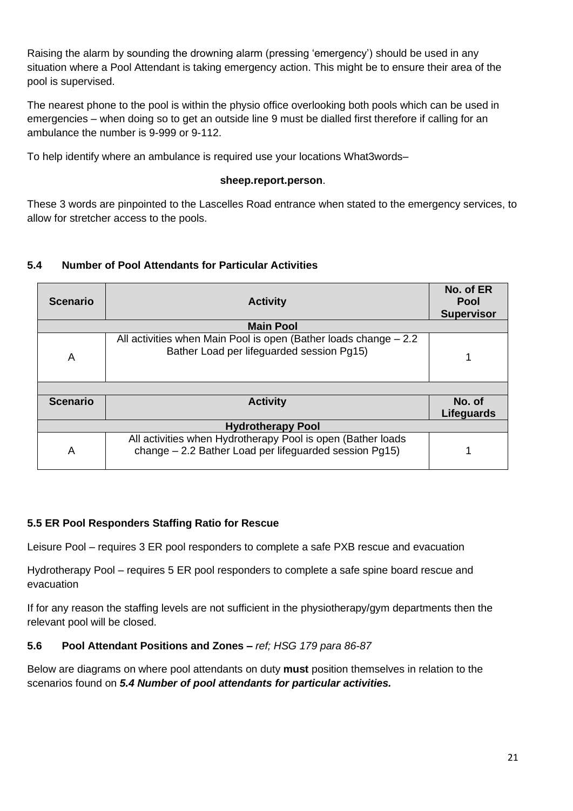Raising the alarm by sounding the drowning alarm (pressing 'emergency') should be used in any situation where a Pool Attendant is taking emergency action. This might be to ensure their area of the pool is supervised.

The nearest phone to the pool is within the physio office overlooking both pools which can be used in emergencies – when doing so to get an outside line 9 must be dialled first therefore if calling for an ambulance the number is 9-999 or 9-112.

To help identify where an ambulance is required use your locations What3words–

#### **sheep.report.person**.

These 3 words are pinpointed to the Lascelles Road entrance when stated to the emergency services, to allow for stretcher access to the pools.

#### **5.4 Number of Pool Attendants for Particular Activities**

| <b>Scenario</b>          | <b>Activity</b>                                                                                                       | No. of ER<br><b>Pool</b><br><b>Supervisor</b> |  |  |  |
|--------------------------|-----------------------------------------------------------------------------------------------------------------------|-----------------------------------------------|--|--|--|
| <b>Main Pool</b>         |                                                                                                                       |                                               |  |  |  |
| A                        | All activities when Main Pool is open (Bather loads change – 2.2)<br>Bather Load per lifeguarded session Pg15)        |                                               |  |  |  |
|                          |                                                                                                                       |                                               |  |  |  |
| <b>Scenario</b>          | <b>Activity</b>                                                                                                       | No. of<br>Lifeguards                          |  |  |  |
| <b>Hydrotherapy Pool</b> |                                                                                                                       |                                               |  |  |  |
| A                        | All activities when Hydrotherapy Pool is open (Bather loads<br>change - 2.2 Bather Load per lifeguarded session Pg15) |                                               |  |  |  |

#### **5.5 ER Pool Responders Staffing Ratio for Rescue**

Leisure Pool – requires 3 ER pool responders to complete a safe PXB rescue and evacuation

Hydrotherapy Pool – requires 5 ER pool responders to complete a safe spine board rescue and evacuation

If for any reason the staffing levels are not sufficient in the physiotherapy/gym departments then the relevant pool will be closed.

#### **5.6 Pool Attendant Positions and Zones –** *ref; HSG 179 para 86-87*

Below are diagrams on where pool attendants on duty **must** position themselves in relation to the scenarios found on *5.4 Number of pool attendants for particular activities.*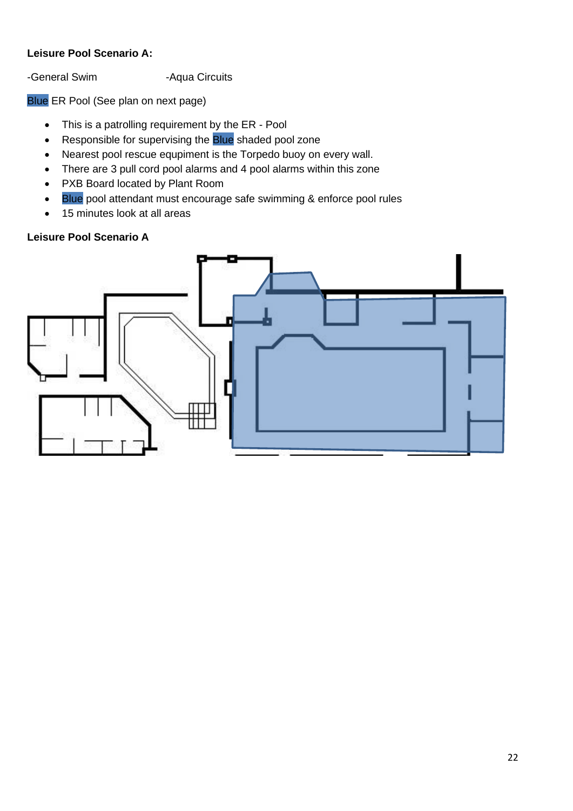# **Leisure Pool Scenario A:**

-General Swim -Aqua Circuits

Blue ER Pool (See plan on next page)

- This is a patrolling requirement by the ER Pool
- Responsible for supervising the Blue shaded pool zone
- Nearest pool rescue equpiment is the Torpedo buoy on every wall.
- There are 3 pull cord pool alarms and 4 pool alarms within this zone
- PXB Board located by Plant Room
- Blue pool attendant must encourage safe swimming & enforce pool rules
- 15 minutes look at all areas

#### **Leisure Pool Scenario A**

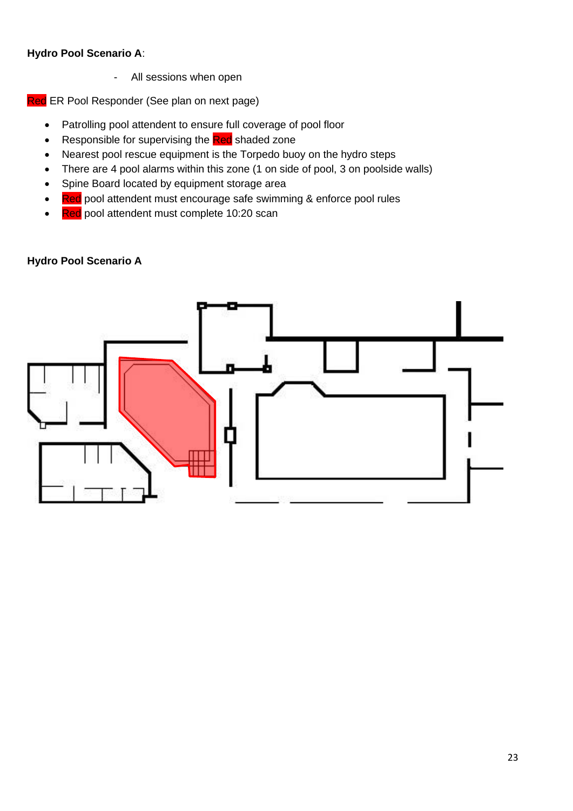#### **Hydro Pool Scenario A**:

- All sessions when open

Red ER Pool Responder (See plan on next page)

- Patrolling pool attendent to ensure full coverage of pool floor
- Responsible for supervising the Red shaded zone
- Nearest pool rescue equipment is the Torpedo buoy on the hydro steps
- There are 4 pool alarms within this zone (1 on side of pool, 3 on poolside walls)
- Spine Board located by equipment storage area
- Red pool attendent must encourage safe swimming & enforce pool rules
- Red pool attendent must complete 10:20 scan

#### **Hydro Pool Scenario A**

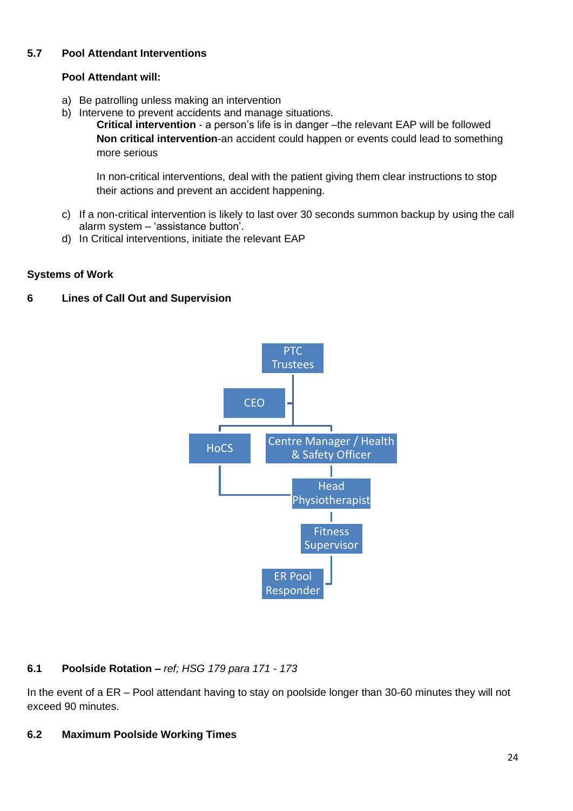# **5.7 Pool Attendant Interventions**

# **Pool Attendant will:**

- a) Be patrolling unless making an intervention
- b) Intervene to prevent accidents and manage situations. **Critical intervention** - a person's life is in danger –the relevant EAP will be followed **Non critical intervention**-an accident could happen or events could lead to something more serious

In non-critical interventions, deal with the patient giving them clear instructions to stop their actions and prevent an accident happening.

- c) If a non-critical intervention is likely to last over 30 seconds summon backup by using the call alarm system – 'assistance button'.
- d) In Critical interventions, initiate the relevant EAP

# **Systems of Work**

**6 Lines of Call Out and Supervision**



# **6.1 Poolside Rotation –** *ref; HSG 179 para 171 - 173*

In the event of a ER – Pool attendant having to stay on poolside longer than 30-60 minutes they will not exceed 90 minutes.

# **6.2 Maximum Poolside Working Times**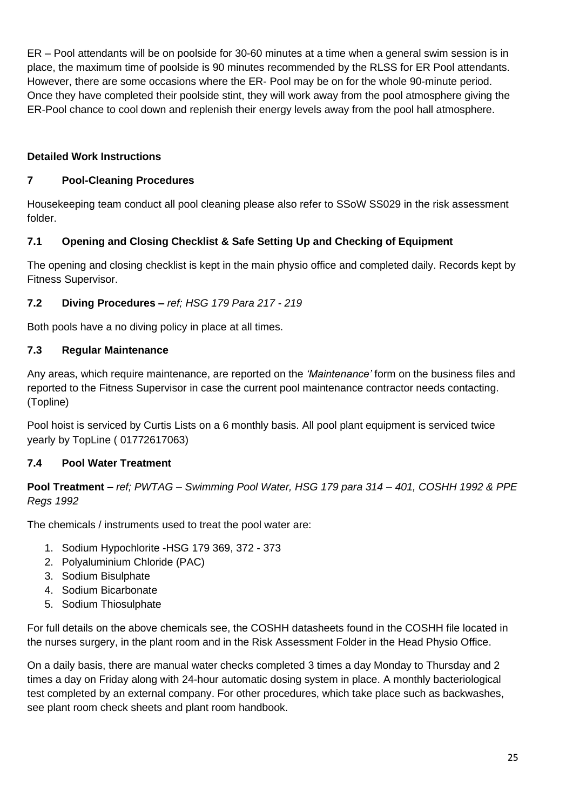ER – Pool attendants will be on poolside for 30-60 minutes at a time when a general swim session is in place, the maximum time of poolside is 90 minutes recommended by the RLSS for ER Pool attendants. However, there are some occasions where the ER- Pool may be on for the whole 90-minute period. Once they have completed their poolside stint, they will work away from the pool atmosphere giving the ER-Pool chance to cool down and replenish their energy levels away from the pool hall atmosphere.

# **Detailed Work Instructions**

# **7 Pool-Cleaning Procedures**

Housekeeping team conduct all pool cleaning please also refer to SSoW SS029 in the risk assessment folder.

# **7.1 Opening and Closing Checklist & Safe Setting Up and Checking of Equipment**

The opening and closing checklist is kept in the main physio office and completed daily. Records kept by Fitness Supervisor.

# **7.2 Diving Procedures –** *ref; HSG 179 Para 217 - 219*

Both pools have a no diving policy in place at all times.

# **7.3 Regular Maintenance**

Any areas, which require maintenance, are reported on the *'Maintenance'* form on the business files and reported to the Fitness Supervisor in case the current pool maintenance contractor needs contacting. (Topline)

Pool hoist is serviced by Curtis Lists on a 6 monthly basis. All pool plant equipment is serviced twice yearly by TopLine ( 01772617063)

# **7.4 Pool Water Treatment**

**Pool Treatment –** *ref; PWTAG – Swimming Pool Water, HSG 179 para 314 – 401, COSHH 1992 & PPE Regs 1992*

The chemicals / instruments used to treat the pool water are:

- 1. Sodium Hypochlorite -HSG 179 369, 372 373
- 2. Polyaluminium Chloride (PAC)
- 3. Sodium Bisulphate
- 4. Sodium Bicarbonate
- 5. Sodium Thiosulphate

For full details on the above chemicals see, the COSHH datasheets found in the COSHH file located in the nurses surgery, in the plant room and in the Risk Assessment Folder in the Head Physio Office.

On a daily basis, there are manual water checks completed 3 times a day Monday to Thursday and 2 times a day on Friday along with 24-hour automatic dosing system in place. A monthly bacteriological test completed by an external company. For other procedures, which take place such as backwashes, see plant room check sheets and plant room handbook.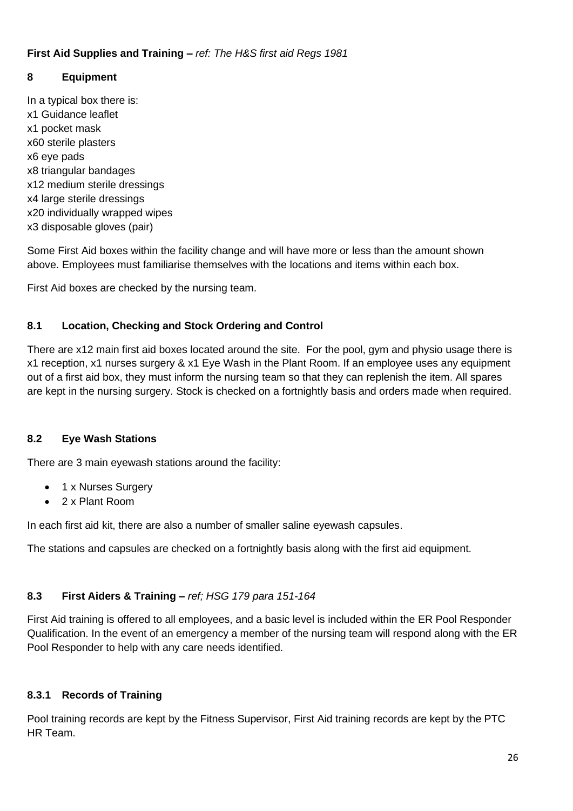#### **First Aid Supplies and Training –** *ref: The H&S first aid Regs 1981*

# **8 Equipment**

In a typical box there is: x1 Guidance leaflet x1 pocket mask x60 sterile plasters x6 eye pads x8 triangular bandages x12 medium sterile dressings x4 large sterile dressings x20 individually wrapped wipes x3 disposable gloves (pair)

Some First Aid boxes within the facility change and will have more or less than the amount shown above. Employees must familiarise themselves with the locations and items within each box.

First Aid boxes are checked by the nursing team.

#### **8.1 Location, Checking and Stock Ordering and Control**

There are x12 main first aid boxes located around the site. For the pool, gym and physio usage there is x1 reception, x1 nurses surgery & x1 Eye Wash in the Plant Room. If an employee uses any equipment out of a first aid box, they must inform the nursing team so that they can replenish the item. All spares are kept in the nursing surgery. Stock is checked on a fortnightly basis and orders made when required.

#### **8.2 Eye Wash Stations**

There are 3 main eyewash stations around the facility:

- 1 x Nurses Surgery
- 2 x Plant Room

In each first aid kit, there are also a number of smaller saline eyewash capsules.

The stations and capsules are checked on a fortnightly basis along with the first aid equipment.

#### **8.3 First Aiders & Training –** *ref; HSG 179 para 151-164*

First Aid training is offered to all employees, and a basic level is included within the ER Pool Responder Qualification. In the event of an emergency a member of the nursing team will respond along with the ER Pool Responder to help with any care needs identified.

#### **8.3.1 Records of Training**

Pool training records are kept by the Fitness Supervisor, First Aid training records are kept by the PTC HR Team.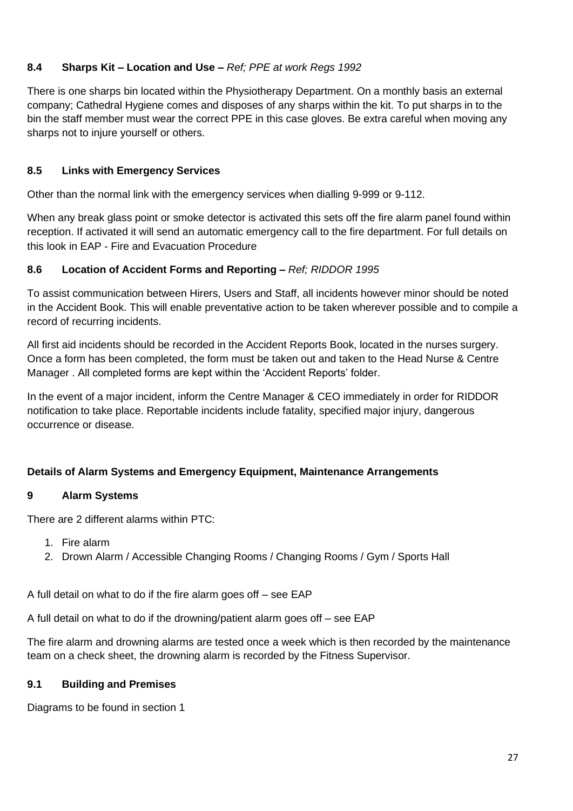#### **8.4 Sharps Kit – Location and Use –** *Ref; PPE at work Regs 1992*

There is one sharps bin located within the Physiotherapy Department. On a monthly basis an external company; Cathedral Hygiene comes and disposes of any sharps within the kit. To put sharps in to the bin the staff member must wear the correct PPE in this case gloves. Be extra careful when moving any sharps not to injure yourself or others.

# **8.5 Links with Emergency Services**

Other than the normal link with the emergency services when dialling 9-999 or 9-112.

When any break glass point or smoke detector is activated this sets off the fire alarm panel found within reception. If activated it will send an automatic emergency call to the fire department. For full details on this look in EAP - Fire and Evacuation Procedure

#### **8.6 Location of Accident Forms and Reporting –** *Ref; RIDDOR 1995*

To assist communication between Hirers, Users and Staff, all incidents however minor should be noted in the Accident Book. This will enable preventative action to be taken wherever possible and to compile a record of recurring incidents.

All first aid incidents should be recorded in the Accident Reports Book, located in the nurses surgery. Once a form has been completed, the form must be taken out and taken to the Head Nurse & Centre Manager . All completed forms are kept within the 'Accident Reports' folder.

In the event of a major incident, inform the Centre Manager & CEO immediately in order for RIDDOR notification to take place. Reportable incidents include fatality, specified major injury, dangerous occurrence or disease.

# **Details of Alarm Systems and Emergency Equipment, Maintenance Arrangements**

#### **9 Alarm Systems**

There are 2 different alarms within PTC:

- 1. Fire alarm
- 2. Drown Alarm / Accessible Changing Rooms / Changing Rooms / Gym / Sports Hall

A full detail on what to do if the fire alarm goes off – see EAP

A full detail on what to do if the drowning/patient alarm goes off – see EAP

The fire alarm and drowning alarms are tested once a week which is then recorded by the maintenance team on a check sheet, the drowning alarm is recorded by the Fitness Supervisor.

#### **9.1 Building and Premises**

Diagrams to be found in section 1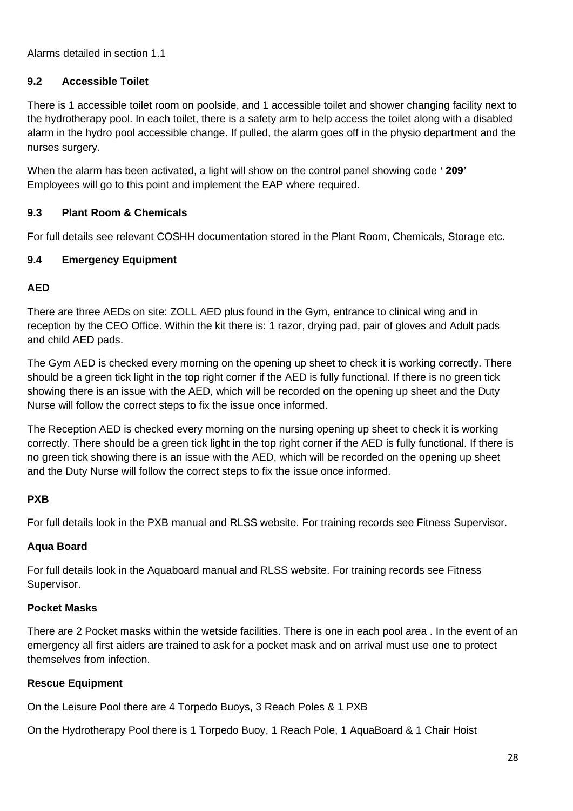Alarms detailed in section 1.1

# **9.2 Accessible Toilet**

There is 1 accessible toilet room on poolside, and 1 accessible toilet and shower changing facility next to the hydrotherapy pool. In each toilet, there is a safety arm to help access the toilet along with a disabled alarm in the hydro pool accessible change. If pulled, the alarm goes off in the physio department and the nurses surgery.

When the alarm has been activated, a light will show on the control panel showing code **' 209'** Employees will go to this point and implement the EAP where required.

# **9.3 Plant Room & Chemicals**

For full details see relevant COSHH documentation stored in the Plant Room, Chemicals, Storage etc.

# **9.4 Emergency Equipment**

# **AED**

There are three AEDs on site: ZOLL AED plus found in the Gym, entrance to clinical wing and in reception by the CEO Office. Within the kit there is: 1 razor, drying pad, pair of gloves and Adult pads and child AED pads.

The Gym AED is checked every morning on the opening up sheet to check it is working correctly. There should be a green tick light in the top right corner if the AED is fully functional. If there is no green tick showing there is an issue with the AED, which will be recorded on the opening up sheet and the Duty Nurse will follow the correct steps to fix the issue once informed.

The Reception AED is checked every morning on the nursing opening up sheet to check it is working correctly. There should be a green tick light in the top right corner if the AED is fully functional. If there is no green tick showing there is an issue with the AED, which will be recorded on the opening up sheet and the Duty Nurse will follow the correct steps to fix the issue once informed.

#### **PXB**

For full details look in the PXB manual and RLSS website. For training records see Fitness Supervisor.

#### **Aqua Board**

For full details look in the Aquaboard manual and RLSS website. For training records see Fitness Supervisor.

#### **Pocket Masks**

There are 2 Pocket masks within the wetside facilities. There is one in each pool area . In the event of an emergency all first aiders are trained to ask for a pocket mask and on arrival must use one to protect themselves from infection.

# **Rescue Equipment**

On the Leisure Pool there are 4 Torpedo Buoys, 3 Reach Poles & 1 PXB

On the Hydrotherapy Pool there is 1 Torpedo Buoy, 1 Reach Pole, 1 AquaBoard & 1 Chair Hoist